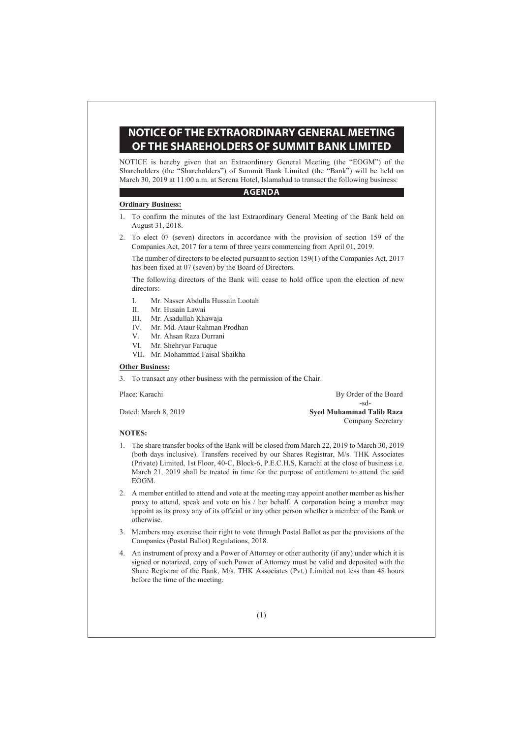# **NOTICE OF THE EXTRAORDINARY GENERAL MEETING OF THE SHAREHOLDERS OF SUMMIT BANK LIMITED**

NOTICE is hereby given that an Extraordinary General Meeting (the "EOGM") of the Shareholders (the "Shareholders") of Summit Bank Limited (the "Bank") will be held on March 30, 2019 at 11:00 a.m. at Serena Hotel, Islamabad to transact the following business:

### AGENDA **AGENDA**

#### **Ordinary Business:**

- 1. To confirm the minutes of the last Extraordinary General Meeting of the Bank held on August 31, 2018.
- 2. To elect 07 (seven) directors in accordance with the provision of section 159 of the Companies Act, 2017 for a term of three years commencing from April 01, 2019.

 The number of directors to be elected pursuant to section 159(1) of the Companies Act, 2017 has been fixed at 07 (seven) by the Board of Directors.

 The following directors of the Bank will cease to hold office upon the election of new directors:

- I. Mr. Nasser Abdulla Hussain Lootah
- II. Mr. Husain Lawai
- III. Mr. Asadullah Khawaja
- IV. Mr. Md. Ataur Rahman Prodhan
- V. Mr. Ahsan Raza Durrani
- VI. Mr. Shehryar Faruque
- VII. Mr. Mohammad Faisal Shaikha

## **Other Business:**

3. To transact any other business with the permission of the Chair.

Place: Karachi By Order of the Board -sd-Dated: March 8, 2019 **Syed Muhammad Talib Raza** Company Secretary

#### **NOTES:**

- 1. The share transfer books of the Bank will be closed from March 22, 2019 to March 30, 2019 (both days inclusive). Transfers received by our Shares Registrar, M/s. THK Associates (Private) Limited, 1st Floor, 40-C, Block-6, P.E.C.H.S, Karachi at the close of business i.e. March 21, 2019 shall be treated in time for the purpose of entitlement to attend the said EOGM.
- 2. A member entitled to attend and vote at the meeting may appoint another member as his/her proxy to attend, speak and vote on his / her behalf. A corporation being a member may appoint as its proxy any of its official or any other person whether a member of the Bank or otherwise.
- 3. Members may exercise their right to vote through Postal Ballot as per the provisions of the Companies (Postal Ballot) Regulations, 2018.
- 4. An instrument of proxy and a Power of Attorney or other authority (if any) under which it is signed or notarized, copy of such Power of Attorney must be valid and deposited with the Share Registrar of the Bank, M/s. THK Associates (Pvt.) Limited not less than 48 hours before the time of the meeting.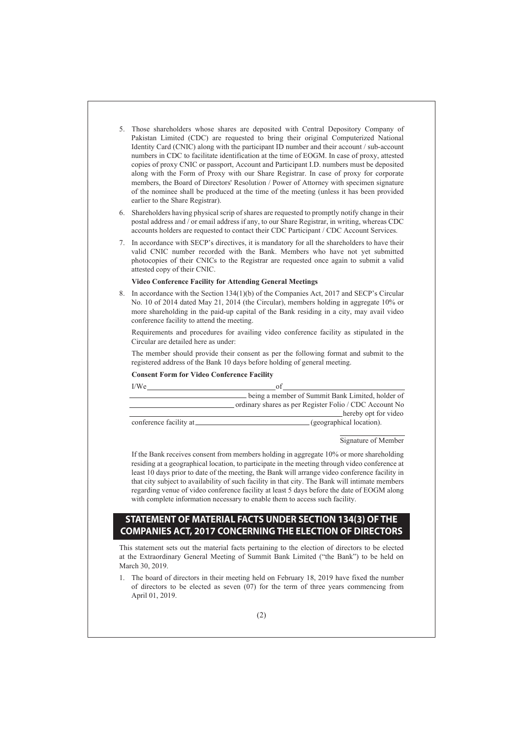- 5. Those shareholders whose shares are deposited with Central Depository Company of Pakistan Limited (CDC) are requested to bring their original Computerized National Identity Card (CNIC) along with the participant ID number and their account / sub-account numbers in CDC to facilitate identification at the time of EOGM. In case of proxy, attested copies of proxy CNIC or passport, Account and Participant I.D. numbers must be deposited along with the Form of Proxy with our Share Registrar. In case of proxy for corporate members, the Board of Directors' Resolution / Power of Attorney with specimen signature of the nominee shall be produced at the time of the meeting (unless it has been provided earlier to the Share Registrar).
- 6. Shareholders having physical scrip of shares are requested to promptly notify change in their postal address and / or email address if any, to our Share Registrar, in writing, whereas CDC accounts holders are requested to contact their CDC Participant / CDC Account Services.
- 7. In accordance with SECP's directives, it is mandatory for all the shareholders to have their valid CNIC number recorded with the Bank. Members who have not yet submitted photocopies of their CNICs to the Registrar are requested once again to submit a valid attested copy of their CNIC.

#### **Video Conference Facility for Attending General Meetings**

8. In accordance with the Section 134(1)(b) of the Companies Act, 2017 and SECP's Circular No. 10 of 2014 dated May 21, 2014 (the Circular), members holding in aggregate 10% or more shareholding in the paid-up capital of the Bank residing in a city, may avail video conference facility to attend the meeting.

 Requirements and procedures for availing video conference facility as stipulated in the Circular are detailed here as under:

 The member should provide their consent as per the following format and submit to the registered address of the Bank 10 days before holding of general meeting.

### **Consent Form for Video Conference Facility**

| I/We                    |                                                        |
|-------------------------|--------------------------------------------------------|
|                         | being a member of Summit Bank Limited, holder of       |
|                         | ordinary shares as per Register Folio / CDC Account No |
|                         | hereby opt for video                                   |
| conference facility at_ | (geographical location).                               |

#### Signature of Member

 If the Bank receives consent from members holding in aggregate 10% or more shareholding residing at a geographical location, to participate in the meeting through video conference at least 10 days prior to date of the meeting, the Bank will arrange video conference facility in that city subject to availability of such facility in that city. The Bank will intimate members regarding venue of video conference facility at least 5 days before the date of EOGM along with complete information necessary to enable them to access such facility.

## **STATEMENT OF MATERIAL FACTS UNDER SECTION 134(3) OF THE COMPANIES ACT, 2017 CONCERNING THE ELECTION OF DIRECTORS**

This statement sets out the material facts pertaining to the election of directors to be elected at the Extraordinary General Meeting of Summit Bank Limited ("the Bank") to be held on March 30, 2019.

1. The board of directors in their meeting held on February 18, 2019 have fixed the number of directors to be elected as seven (07) for the term of three years commencing from April 01, 2019.